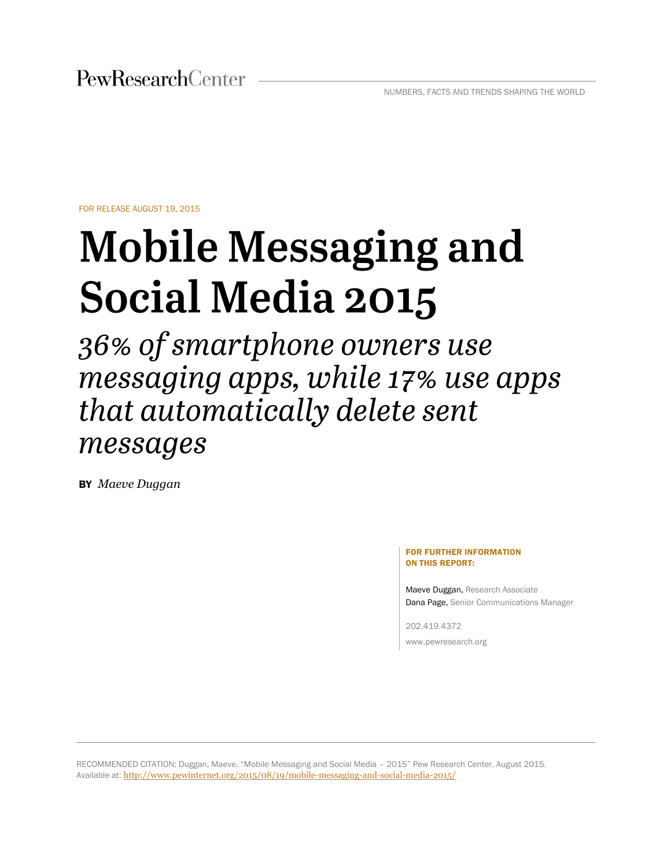FOR RELEASE AUGUST 19, 2015

# **Mobile Messaging and Social Media 2015**

36% of smartphone owners use messaging apps, while 17% use apps that automatically delete sent messages

BY *Maeve Duggan*

#### FOR FURTHER INFORMATION ON THIS REPORT:

Dana Page, Senior Communications Manager Dana Page, Senior Communications Manager Maeve Duggan, Research Associate

202.419.4372 www.pewresearch.org

RECOMMENDED CITATION: Duggan, Maeve. "Mobile Messaging and Social Media – 2015" Pew Research Center. August 2015. Available at: <http://www.pewinternet.org/2015/08/19/mobile-messaging-and-social-media-2015/>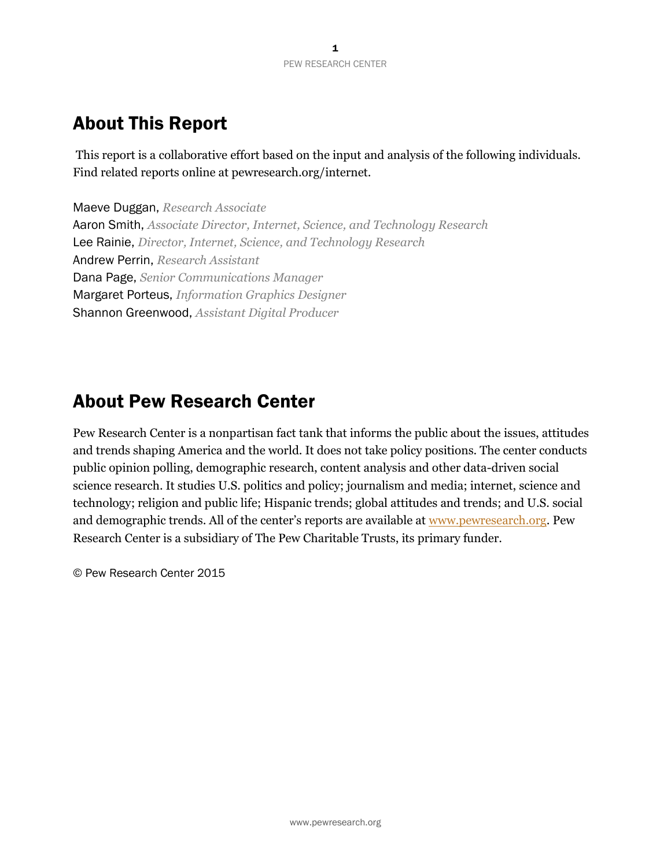# About This Report

This report is a collaborative effort based on the input and analysis of the following individuals. Find related reports online at pewresearch.org/internet.

Maeve Duggan, *Research Associate* Aaron Smith, *Associate Director, Internet, Science, and Technology Research* Lee Rainie, *Director, Internet, Science, and Technology Research* Andrew Perrin, *Research Assistant* Dana Page, *Senior Communications Manager* Margaret Porteus, *Information Graphics Designer* Shannon Greenwood, *Assistant Digital Producer*

# About Pew Research Center

Pew Research Center is a nonpartisan fact tank that informs the public about the issues, attitudes and trends shaping America and the world. It does not take policy positions. The center conducts public opinion polling, demographic research, content analysis and other data-driven social science research. It studies U.S. politics and policy; journalism and media; internet, science and technology; religion and public life; Hispanic trends; global attitudes and trends; and U.S. social and demographic trends. All of the center's reports are available at [www.pewresearch.org.](http://www.pewresearch.org/) Pew Research Center is a subsidiary of The Pew Charitable Trusts, its primary funder.

© Pew Research Center 2015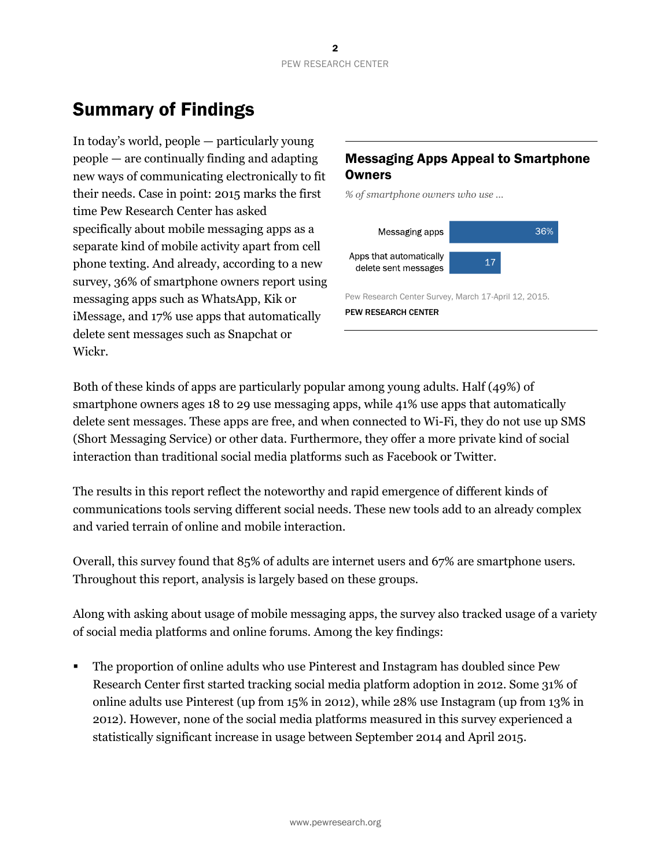# Summary of Findings

In today's world, people — particularly young people — are continually finding and adapting new ways of communicating electronically to fit their needs. Case in point: 2015 marks the first time Pew Research Center has asked specifically about mobile messaging apps as a separate kind of mobile activity apart from cell phone texting. And already, according to a new survey, 36% of smartphone owners report using messaging apps such as WhatsApp, Kik or iMessage, and 17% use apps that automatically delete sent messages such as Snapchat or Wickr.

## Messaging Apps Appeal to Smartphone **Owners**

*% of smartphone owners who use …*



Pew Research Center Survey, March 17-April 12, 2015.

PEW RESEARCH CENTER

Both of these kinds of apps are particularly popular among young adults. Half (49%) of smartphone owners ages 18 to 29 use messaging apps, while 41% use apps that automatically delete sent messages. These apps are free, and when connected to Wi-Fi, they do not use up SMS (Short Messaging Service) or other data. Furthermore, they offer a more private kind of social interaction than traditional social media platforms such as Facebook or Twitter.

The results in this report reflect the noteworthy and rapid emergence of different kinds of communications tools serving different social needs. These new tools add to an already complex and varied terrain of online and mobile interaction.

Overall, this survey found that 85% of adults are internet users and 67% are smartphone users. Throughout this report, analysis is largely based on these groups.

Along with asking about usage of mobile messaging apps, the survey also tracked usage of a variety of social media platforms and online forums. Among the key findings:

 The proportion of online adults who use Pinterest and Instagram has doubled since Pew Research Center first started tracking social media platform adoption in 2012. Some 31% of online adults use Pinterest (up from 15% in 2012), while 28% use Instagram (up from 13% in 2012). However, none of the social media platforms measured in this survey experienced a statistically significant increase in usage between September 2014 and April 2015.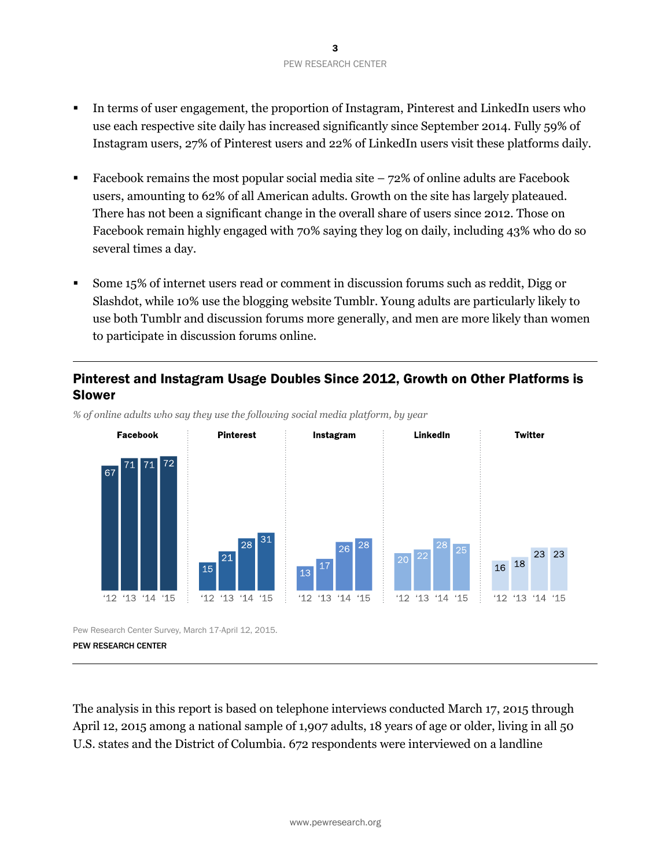- In terms of user engagement, the proportion of Instagram, Pinterest and LinkedIn users who use each respective site daily has increased significantly since September 2014. Fully 59% of Instagram users, 27% of Pinterest users and 22% of LinkedIn users visit these platforms daily.
- Facebook remains the most popular social media site  $-72\%$  of online adults are Facebook users, amounting to 62% of all American adults. Growth on the site has largely plateaued. There has not been a significant change in the overall share of users since 2012. Those on Facebook remain highly engaged with 70% saying they log on daily, including 43% who do so several times a day.
- Some 15% of internet users read or comment in discussion forums such as reddit, Digg or Slashdot, while 10% use the blogging website Tumblr. Young adults are particularly likely to use both Tumblr and discussion forums more generally, and men are more likely than women to participate in discussion forums online.

#### Pinterest and Instagram Usage Doubles Since 2012, Growth on Other Platforms is Slower



*% of online adults who say they use the following social media platform, by year*

Pew Research Center Survey, March 17-April 12, 2015.

PEW RESEARCH CENTER

The analysis in this report is based on telephone interviews conducted March 17, 2015 through April 12, 2015 among a national sample of 1,907 adults, 18 years of age or older, living in all 50 U.S. states and the District of Columbia. 672 respondents were interviewed on a landline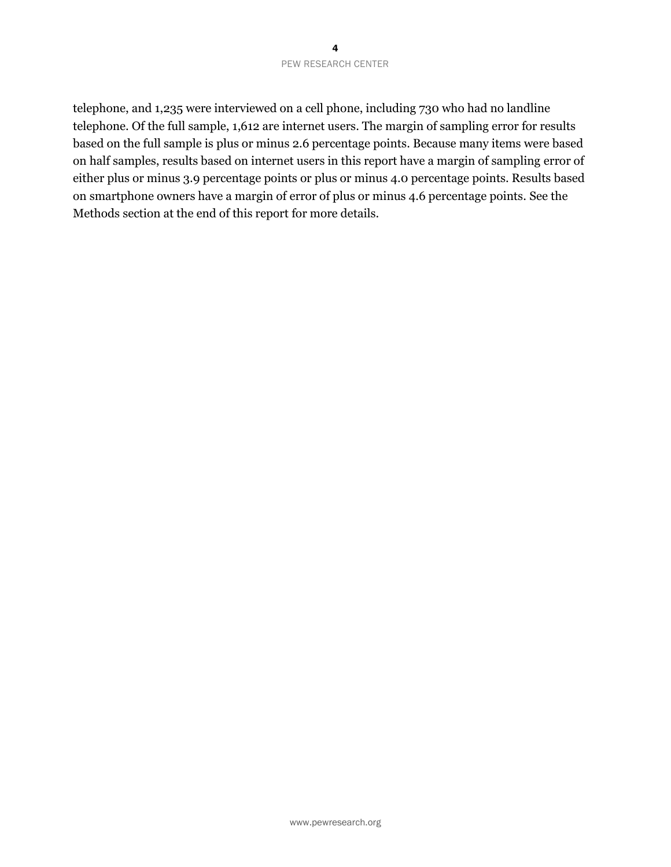#### 4 PEW RESEARCH CENTER

telephone, and 1,235 were interviewed on a cell phone, including 730 who had no landline telephone. Of the full sample, 1,612 are internet users. The margin of sampling error for results based on the full sample is plus or minus 2.6 percentage points. Because many items were based on half samples, results based on internet users in this report have a margin of sampling error of either plus or minus 3.9 percentage points or plus or minus 4.0 percentage points. Results based on smartphone owners have a margin of error of plus or minus 4.6 percentage points. See the Methods section at the end of this report for more details.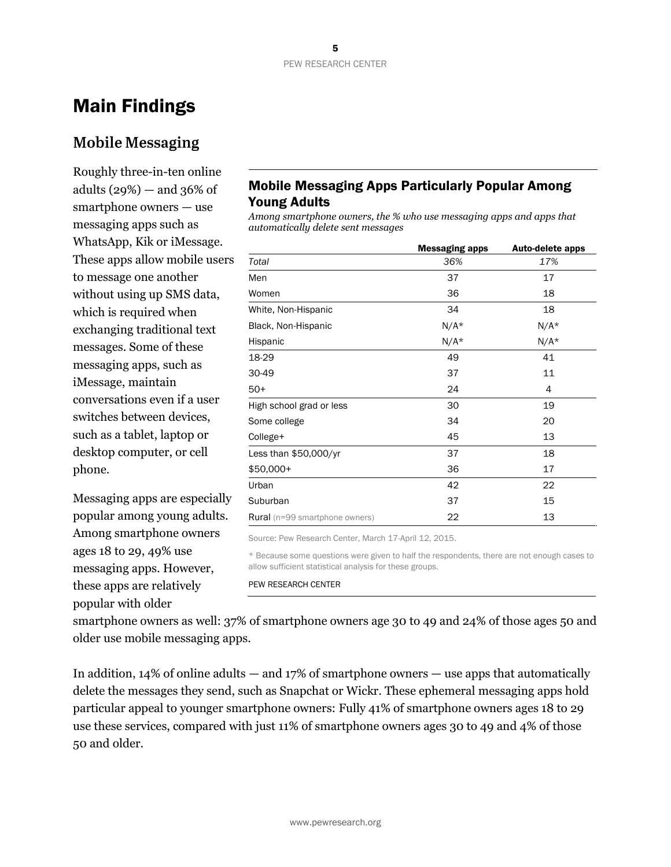# Main Findings

## **Mobile Messaging**

Roughly three-in-ten online adults  $(29\%)$  — and  $36\%$  of smartphone owners — use messaging apps such as WhatsApp, Kik or iMessage. These apps allow mobile users to message one another without using up SMS data, which is required when exchanging traditional text messages. Some of these messaging apps, such as iMessage, maintain conversations even if a user switches between devices, such as a tablet, laptop or desktop computer, or cell phone.

Messaging apps are especially popular among young adults. Among smartphone owners ages 18 to 29, 49% use messaging apps. However, these apps are relatively popular with older

## Mobile Messaging Apps Particularly Popular Among Young Adults

*Among smartphone owners, the % who use messaging apps and apps that automatically delete sent messages*

|                                       | <b>Messaging apps</b> | Auto-delete apps |
|---------------------------------------|-----------------------|------------------|
| Total                                 | 36%                   | 17%              |
| Men                                   | 37                    | 17               |
| Women                                 | 36                    | 18               |
| White, Non-Hispanic                   | 34                    | 18               |
| Black, Non-Hispanic                   | $N/A*$                | $N/A*$           |
| Hispanic                              | $N/A*$                | $N/A*$           |
| 18-29                                 | 49                    | 41               |
| 30-49                                 | 37                    | 11               |
| $50+$                                 | 24                    | 4                |
| High school grad or less              | 30                    | 19               |
| Some college                          | 34                    | 20               |
| College+                              | 45                    | 13               |
| Less than \$50,000/yr                 | 37                    | 18               |
| \$50,000+                             | 36                    | 17               |
| Urban                                 | 42                    | 22               |
| Suburban                              | 37                    | 15               |
| <b>Rural</b> (n=99 smartphone owners) | 22                    | 13               |

Source: Pew Research Center, March 17-April 12, 2015.

\* Because some questions were given to half the respondents, there are not enough cases to allow sufficient statistical analysis for these groups.

#### PEW RESEARCH CENTER

smartphone owners as well: 37% of smartphone owners age 30 to 49 and 24% of those ages 50 and older use mobile messaging apps.

In addition, 14% of online adults — and 17% of smartphone owners — use apps that automatically delete the messages they send, such as Snapchat or Wickr. These ephemeral messaging apps hold particular appeal to younger smartphone owners: Fully 41% of smartphone owners ages 18 to 29 use these services, compared with just 11% of smartphone owners ages 30 to 49 and 4% of those 50 and older.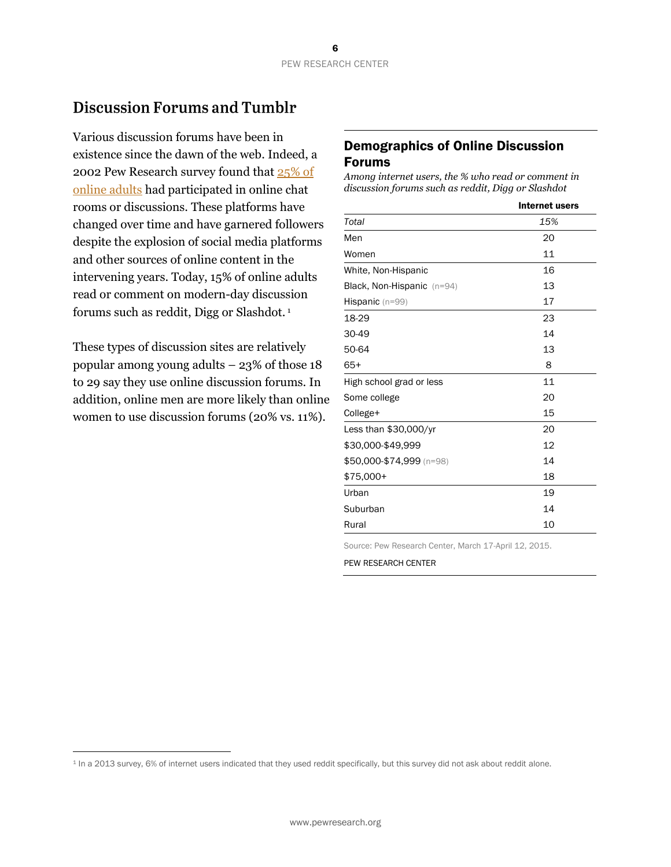## **Discussion Forums and Tumblr**

Various discussion forums have been in existence since the dawn of the web. Indeed, a 2002 Pew Research survey found that [25% of](http://www.pewinternet.org/2003/12/22/part-2-web-use-and-communication-activities/#about-a-quarter-of-internet-users-have-taken-part-in-chat-rooms-or-online-discussions)  [online adults](http://www.pewinternet.org/2003/12/22/part-2-web-use-and-communication-activities/#about-a-quarter-of-internet-users-have-taken-part-in-chat-rooms-or-online-discussions) had participated in online chat rooms or discussions. These platforms have changed over time and have garnered followers despite the explosion of social media platforms and other sources of online content in the intervening years. Today, 15% of online adults read or comment on modern-day discussion forums such as reddit, Digg or Slashdot. <sup>1</sup>

These types of discussion sites are relatively popular among young adults – 23% of those 18 to 29 say they use online discussion forums. In addition, online men are more likely than online women to use discussion forums (20% vs. 11%).

l

#### Demographics of Online Discussion Forums

*Among internet users, the % who read or comment in discussion forums such as reddit, Digg or Slashdot*

|                            | Internet users |
|----------------------------|----------------|
| Total                      | 15%            |
| Men                        | 20             |
| Women                      | 11             |
| White, Non-Hispanic        | 16             |
| Black, Non-Hispanic (n=94) | 13             |
| Hispanic (n=99)            | 17             |
| 18-29                      | 23             |
| 30-49                      | 14             |
| 50-64                      | 13             |
| $65+$                      | 8              |
| High school grad or less   | 11             |
| Some college               | 20             |
| College+                   | 15             |
| Less than $$30,000/yr$     | 20             |
| \$30,000-\$49,999          | 12             |
| \$50,000-\$74,999 (n=98)   | 14             |
| $$75,000+$                 | 18             |
| Urban                      | 19             |
| Suburban                   | 14             |
| Rural                      | 10             |

Source: Pew Research Center, March 17-April 12, 2015.

<sup>1</sup> In a 2013 survey, 6% of internet users indicated that they used reddit specifically, but this survey did not ask about reddit alone.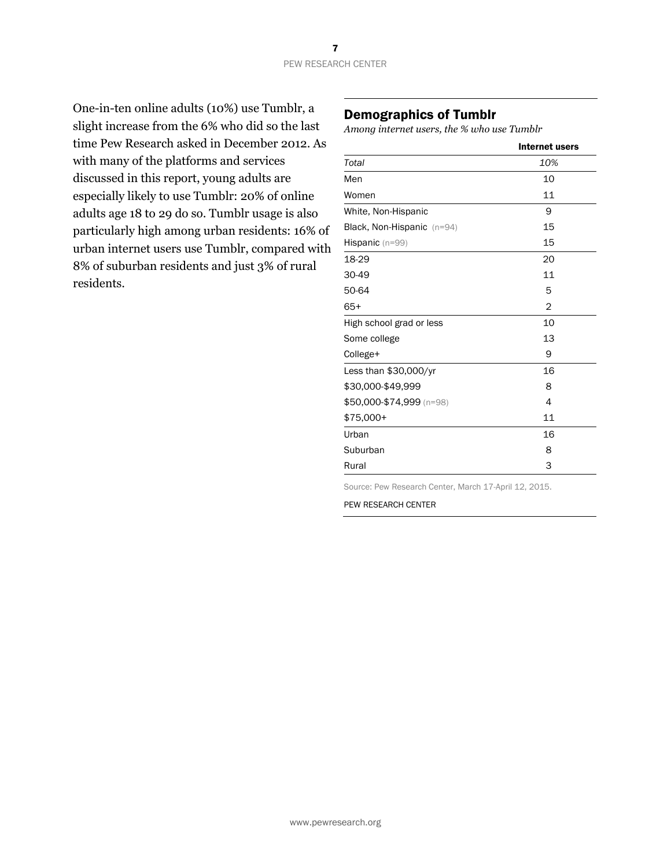One-in-ten online adults (10%) use Tumblr, a slight increase from the 6% who did so the last time Pew Research asked in December 2012. As with many of the platforms and services discussed in this report, young adults are especially likely to use Tumblr: 20% of online adults age 18 to 29 do so. Tumblr usage is also particularly high among urban residents: 16% of urban internet users use Tumblr, compared with 8% of suburban residents and just 3% of rural residents.

#### Demographics of Tumblr

*Among internet users, the % who use Tumblr*

|                            | Internet users |
|----------------------------|----------------|
| Total                      | 10%            |
| Men                        | 10             |
| Women                      | 11             |
| White, Non-Hispanic        | 9              |
| Black, Non-Hispanic (n=94) | 15             |
| <b>Hispanic</b> $(n=99)$   | 15             |
| 18-29                      | 20             |
| 30-49                      | 11             |
| 50-64                      | 5              |
| $65+$                      | $\overline{2}$ |
| High school grad or less   | 10             |
| Some college               | 13             |
| College+                   | 9              |
| Less than $$30,000/yr$     | 16             |
| \$30,000-\$49,999          | 8              |
| \$50,000-\$74,999 (n=98)   | 4              |
| $$75,000+$                 | 11             |
| Urban                      | 16             |
| Suburban                   | 8              |
| Rural                      | 3              |

Source: Pew Research Center, March 17-April 12, 2015.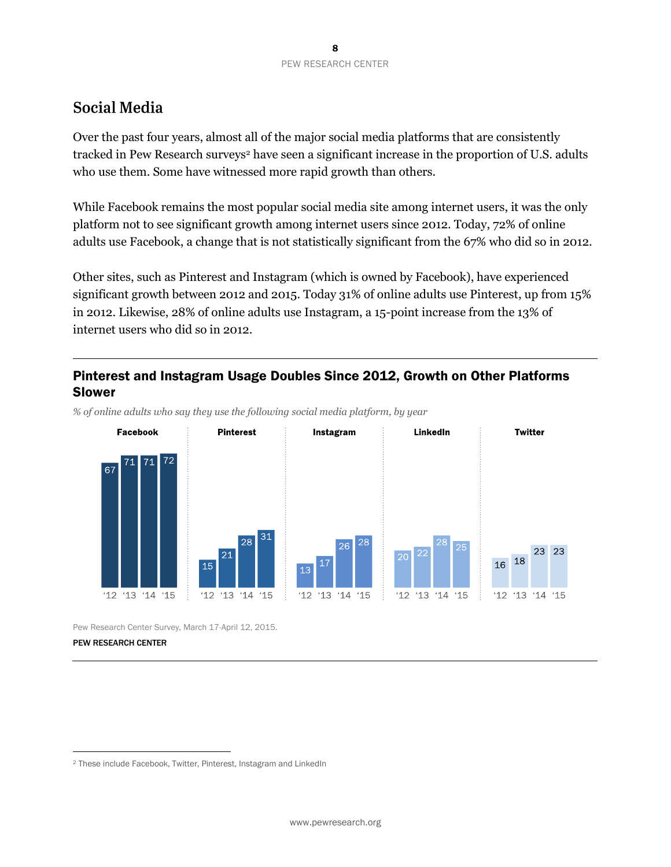## **Social Media**

Over the past four years, almost all of the major social media platforms that are consistently tracked in Pew Research surveys<sup>2</sup> have seen a significant increase in the proportion of U.S. adults who use them. Some have witnessed more rapid growth than others.

While Facebook remains the most popular social media site among internet users, it was the only platform not to see significant growth among internet users since 2012. Today, 72% of online adults use Facebook, a change that is not statistically significant from the 67% who did so in 2012.

Other sites, such as Pinterest and Instagram (which is owned by Facebook), have experienced significant growth between 2012 and 2015. Today 31% of online adults use Pinterest, up from 15% in 2012. Likewise, 28% of online adults use Instagram, a 15-point increase from the 13% of internet users who did so in 2012.

## Pinterest and Instagram Usage Doubles Since 2012, Growth on Other Platforms Slower



*% of online adults who say they use the following social media platform, by year*

Pew Research Center Survey, March 17-April 12, 2015.

#### PEW RESEARCH CENTER

l

<sup>2</sup> These include Facebook, Twitter, Pinterest, Instagram and LinkedIn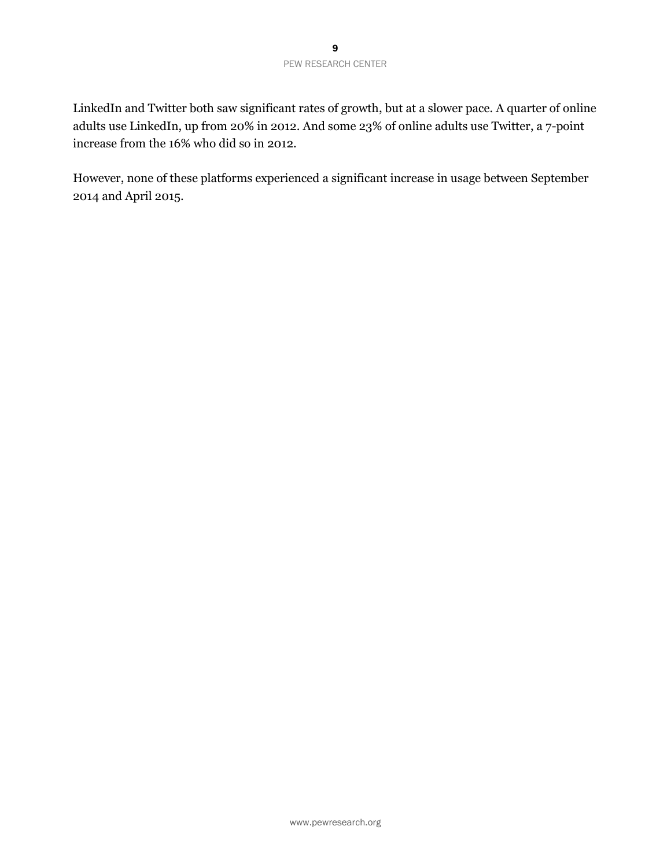LinkedIn and Twitter both saw significant rates of growth, but at a slower pace. A quarter of online adults use LinkedIn, up from 20% in 2012. And some 23% of online adults use Twitter, a 7-point increase from the 16% who did so in 2012.

However, none of these platforms experienced a significant increase in usage between September 2014 and April 2015.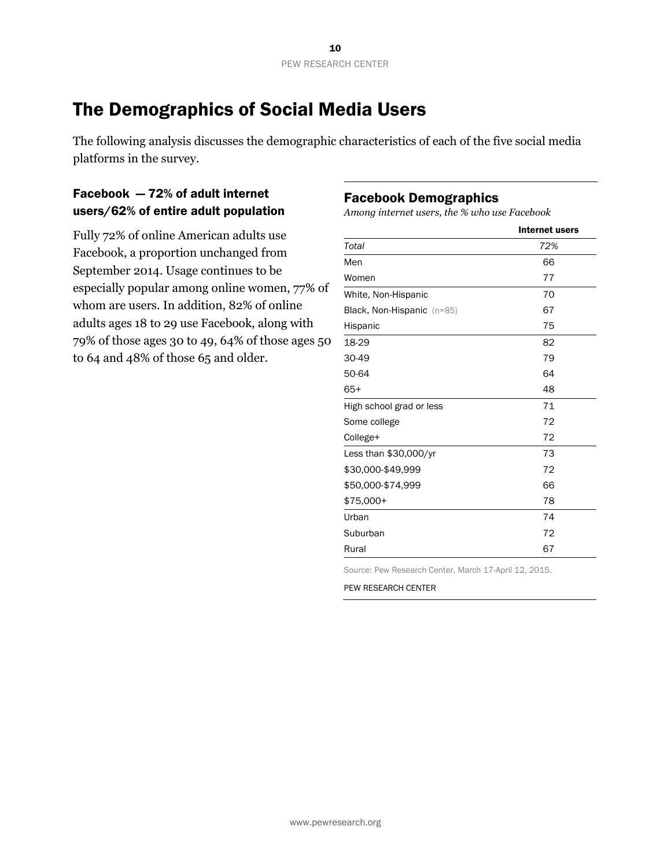# The Demographics of Social Media Users

The following analysis discusses the demographic characteristics of each of the five social media platforms in the survey.

## Facebook — 72% of adult internet users/62% of entire adult population

Fully 72% of online American adults use Facebook, a proportion unchanged from September 2014. Usage continues to be especially popular among online women, 77% of whom are users. In addition, 82% of online adults ages 18 to 29 use Facebook, along with 79% of those ages 30 to 49, 64% of those ages 50 to 64 and 48% of those 65 and older.

#### Facebook Demographics

*Among internet users, the % who use Facebook*

|                            | Internet users |
|----------------------------|----------------|
| Total                      | 72%            |
| Men                        | 66             |
| Women                      | 77             |
| White, Non-Hispanic        | 70             |
| Black, Non-Hispanic (n=85) | 67             |
| Hispanic                   | 75             |
| 18-29                      | 82             |
| 30-49                      | 79             |
| 50-64                      | 64             |
| $65+$                      | 48             |
| High school grad or less   | 71             |
| Some college               | 72             |
| College+                   | 72             |
| Less than $$30,000/yr$     | 73             |
| \$30,000-\$49,999          | 72             |
| \$50,000-\$74,999          | 66             |
| \$75,000+                  | 78             |
| Urban                      | 74             |
| Suburban                   | 72             |
| Rural                      | 67             |

Source: Pew Research Center, March 17-April 12, 2015.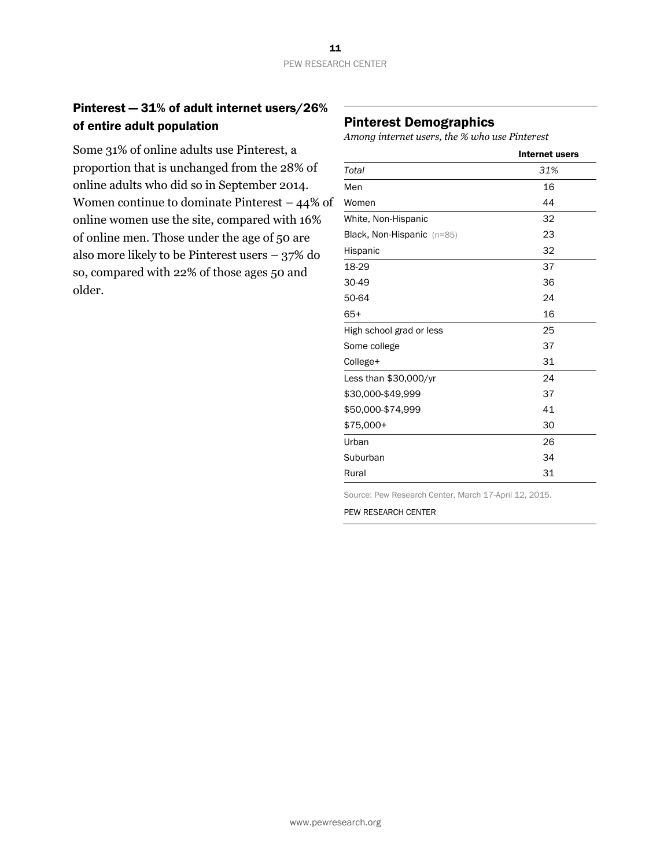## Pinterest — 31% of adult internet users/26% of entire adult population

Some 31% of online adults use Pinterest, a proportion that is unchanged from the 28% of online adults who did so in September 2014. Women continue to dominate Pinterest – 44% of online women use the site, compared with 16% of online men. Those under the age of 50 are also more likely to be Pinterest users – 37% do so, compared with 22% of those ages 50 and older.

#### Pinterest Demographics

*Among internet users, the % who use Pinterest*

|                            | Internet users |
|----------------------------|----------------|
| Total                      | 31%            |
| Men                        | 16             |
| Women                      | 44             |
| White, Non-Hispanic        | 32             |
| Black, Non-Hispanic (n=85) | 23             |
| Hispanic                   | 32             |
| 18-29                      | 37             |
| 30-49                      | 36             |
| 50-64                      | 24             |
| $65+$                      | 16             |
| High school grad or less   | 25             |
| Some college               | 37             |
| College+                   | 31             |
| Less than $$30,000/yr$     | 24             |
| \$30,000-\$49,999          | 37             |
| \$50,000-\$74,999          | 41             |
| \$75,000+                  | 30             |
| Urban                      | 26             |
| Suburban                   | 34             |
| Rural                      | 31             |

Source: Pew Research Center, March 17-April 12, 2015.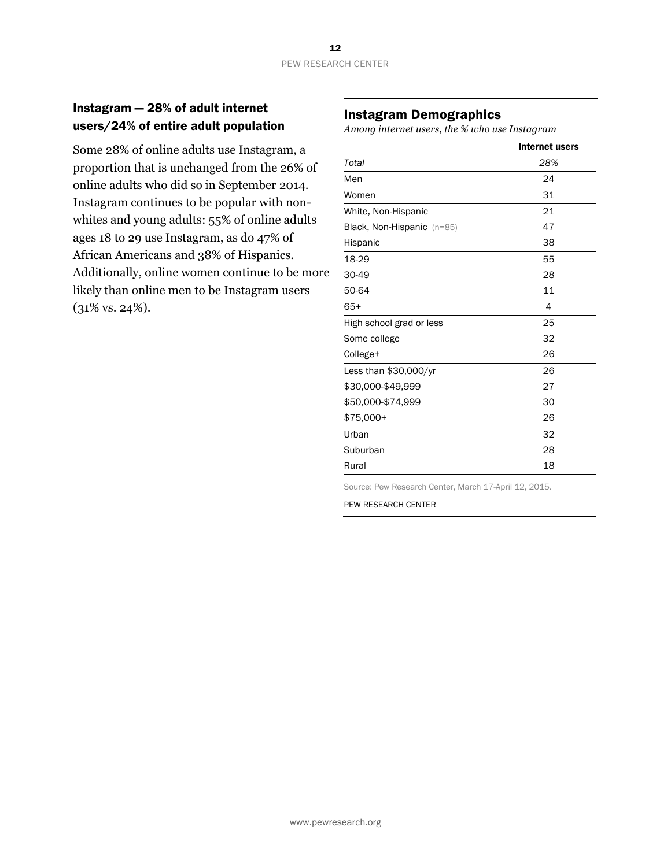#### Instagram — 28% of adult internet users/24% of entire adult population

Some 28% of online adults use Instagram, a proportion that is unchanged from the 26% of online adults who did so in September 2014. Instagram continues to be popular with nonwhites and young adults: 55% of online adults ages 18 to 29 use Instagram, as do 47% of African Americans and 38% of Hispanics. Additionally, online women continue to be more likely than online men to be Instagram users (31% vs. 24%).

#### Instagram Demographics

*Among internet users, the % who use Instagram*

|                            | <b>Internet users</b> |
|----------------------------|-----------------------|
| Total                      | 28%                   |
| Men                        | 24                    |
| Women                      | 31                    |
| White, Non-Hispanic        | 21                    |
| Black, Non-Hispanic (n=85) | 47                    |
| Hispanic                   | 38                    |
| 18-29                      | 55                    |
| 30-49                      | 28                    |
| 50-64                      | 11                    |
| $65+$                      | 4                     |
| High school grad or less   | 25                    |
| Some college               | 32                    |
| College+                   | 26                    |
| Less than $$30,000/yr$     | 26                    |
| \$30,000-\$49,999          | 27                    |
| \$50,000-\$74,999          | 30                    |
| \$75,000+                  | 26                    |
| Urban                      | 32                    |
| Suburban                   | 28                    |
| Rural                      | 18                    |

Source: Pew Research Center, March 17-April 12, 2015.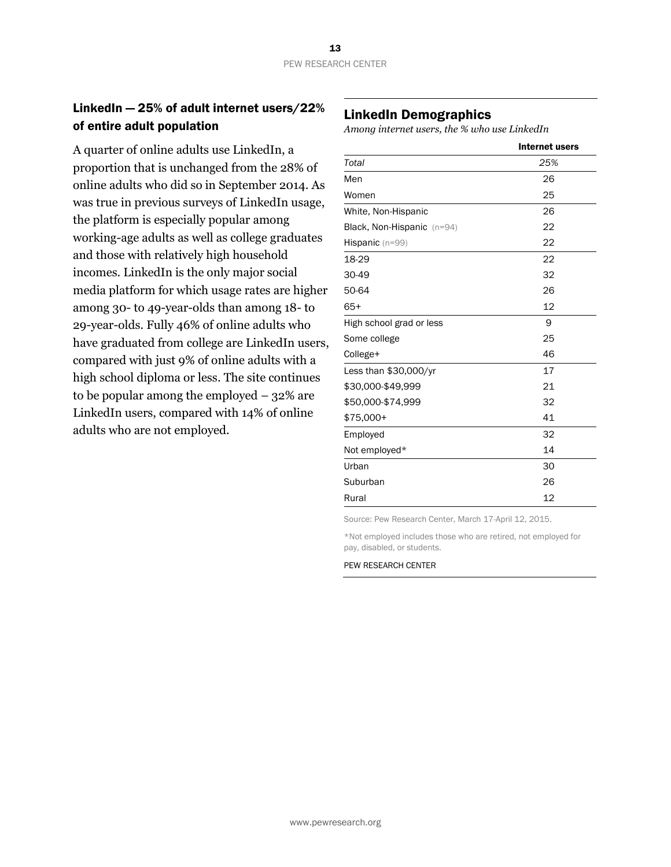## LinkedIn — 25% of adult internet users/22% of entire adult population

A quarter of online adults use LinkedIn, a proportion that is unchanged from the 28% of online adults who did so in September 2014. As was true in previous surveys of LinkedIn usage, the platform is especially popular among working-age adults as well as college graduates and those with relatively high household incomes. LinkedIn is the only major social media platform for which usage rates are higher among 30- to 49-year-olds than among 18- to 29-year-olds. Fully 46% of online adults who have graduated from college are LinkedIn users, compared with just 9% of online adults with a high school diploma or less. The site continues to be popular among the employed  $-32\%$  are LinkedIn users, compared with 14% of online adults who are not employed.

## LinkedIn Demographics

*Among internet users, the % who use LinkedIn*

|                            | Internet users |
|----------------------------|----------------|
| Total                      | 25%            |
| Men                        | 26             |
| Women                      | 25             |
| White, Non-Hispanic        | 26             |
| Black, Non-Hispanic (n=94) | 22             |
| Hispanic (n=99)            | 22             |
| 18-29                      | 22             |
| 30-49                      | 32             |
| 50-64                      | 26             |
| $65+$                      | 12             |
| High school grad or less   | 9              |
| Some college               | 25             |
| College+                   | 46             |
| Less than \$30,000/yr      | 17             |
| \$30,000-\$49,999          | 21             |
| \$50,000-\$74,999          | 32             |
| \$75,000+                  | 41             |
| Employed                   | 32             |
| Not employed*              | 14             |
| Urban                      | 30             |
| Suburban                   | 26             |
| Rural                      | 12             |

Source: Pew Research Center, March 17-April 12, 2015.

\*Not employed includes those who are retired, not employed for pay, disabled, or students.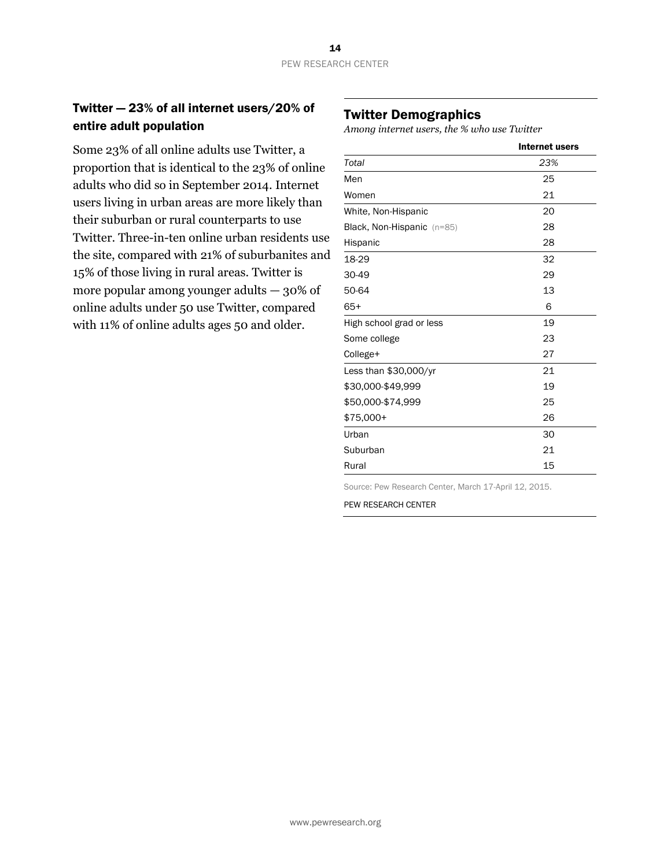## Twitter — 23% of all internet users/20% of entire adult population

Some 23% of all online adults use Twitter, a proportion that is identical to the 23% of online adults who did so in September 2014. Internet users living in urban areas are more likely than their suburban or rural counterparts to use Twitter. Three-in-ten online urban residents use the site, compared with 21% of suburbanites and 15% of those living in rural areas. Twitter is more popular among younger adults  $-30\%$  of online adults under 50 use Twitter, compared with 11% of online adults ages 50 and older.

#### Twitter Demographics

*Among internet users, the % who use Twitter*

|                            | <b>Internet users</b> |
|----------------------------|-----------------------|
| Total                      | 23%                   |
| Men                        | 25                    |
| Women                      | 21                    |
| White, Non-Hispanic        | 20                    |
| Black, Non-Hispanic (n=85) | 28                    |
| Hispanic                   | 28                    |
| 18-29                      | 32                    |
| 30-49                      | 29                    |
| 50-64                      | 13                    |
| $65+$                      | 6                     |
| High school grad or less   | 19                    |
| Some college               | 23                    |
| College+                   | 27                    |
| Less than $$30,000/yr$     | 21                    |
| \$30,000-\$49,999          | 19                    |
| \$50,000-\$74,999          | 25                    |
| \$75,000+                  | 26                    |
| Urban                      | 30                    |
| Suburban                   | 21                    |
| Rural                      | 15                    |

Source: Pew Research Center, March 17-April 12, 2015.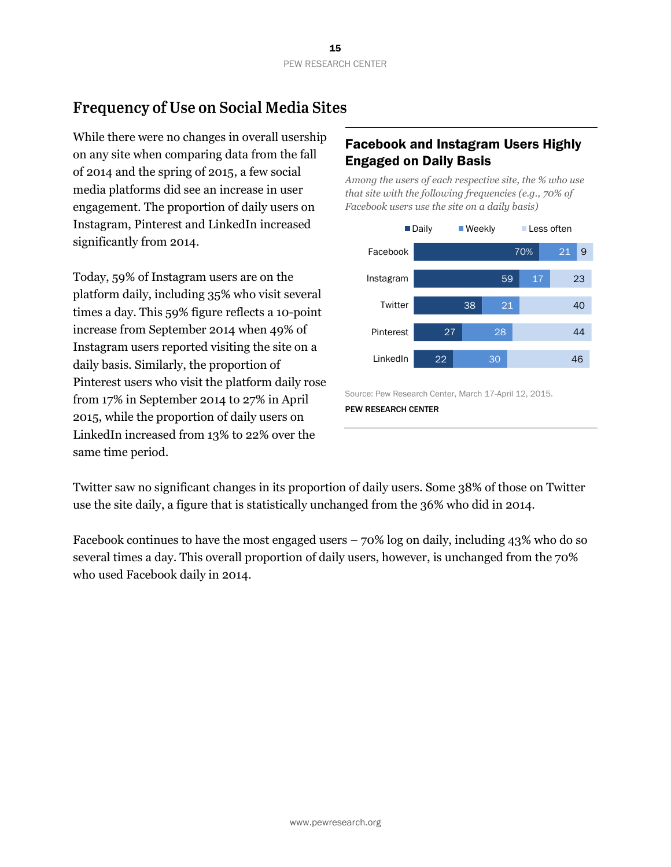# **Frequency of Use on Social Media Sites**

While there were no changes in overall usership on any site when comparing data from the fall of 2014 and the spring of 2015, a few social media platforms did see an increase in user engagement. The proportion of daily users on Instagram, Pinterest and LinkedIn increased significantly from 2014.

Today, 59% of Instagram users are on the platform daily, including 35% who visit several times a day. This 59% figure reflects a 10-point increase from September 2014 when 49% of Instagram users reported visiting the site on a daily basis. Similarly, the proportion of Pinterest users who visit the platform daily rose from 17% in September 2014 to 27% in April 2015, while the proportion of daily users on LinkedIn increased from 13% to 22% over the same time period.

## Facebook and Instagram Users Highly Engaged on Daily Basis

*Among the users of each respective site, the % who use that site with the following frequencies (e.g., 70% of Facebook users use the site on a daily basis)*



Source: Pew Research Center, March 17-April 12, 2015. PEW RESEARCH CENTER

Twitter saw no significant changes in its proportion of daily users. Some 38% of those on Twitter use the site daily, a figure that is statistically unchanged from the 36% who did in 2014.

Facebook continues to have the most engaged users – 70% log on daily, including 43% who do so several times a day. This overall proportion of daily users, however, is unchanged from the 70% who used Facebook daily in 2014.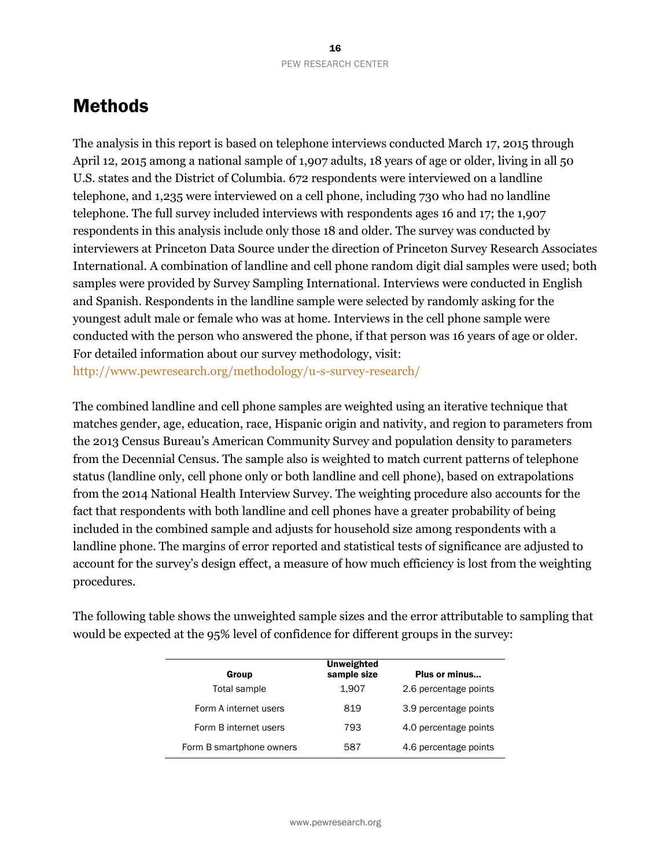# **Methods**

The analysis in this report is based on telephone interviews conducted March 17, 2015 through April 12, 2015 among a national sample of 1,907 adults, 18 years of age or older, living in all 50 U.S. states and the District of Columbia. 672 respondents were interviewed on a landline telephone, and 1,235 were interviewed on a cell phone, including 730 who had no landline telephone. The full survey included interviews with respondents ages 16 and 17; the 1,907 respondents in this analysis include only those 18 and older. The survey was conducted by interviewers at Princeton Data Source under the direction of Princeton Survey Research Associates International. A combination of landline and cell phone random digit dial samples were used; both samples were provided by Survey Sampling International. Interviews were conducted in English and Spanish. Respondents in the landline sample were selected by randomly asking for the youngest adult male or female who was at home. Interviews in the cell phone sample were conducted with the person who answered the phone, if that person was 16 years of age or older. For detailed information about our survey methodology, visit: <http://www.pewresearch.org/methodology/u-s-survey-research/>

The combined landline and cell phone samples are weighted using an iterative technique that matches gender, age, education, race, Hispanic origin and nativity, and region to parameters from the 2013 Census Bureau's American Community Survey and population density to parameters from the Decennial Census. The sample also is weighted to match current patterns of telephone status (landline only, cell phone only or both landline and cell phone), based on extrapolations from the 2014 National Health Interview Survey. The weighting procedure also accounts for the fact that respondents with both landline and cell phones have a greater probability of being included in the combined sample and adjusts for household size among respondents with a landline phone. The margins of error reported and statistical tests of significance are adjusted to account for the survey's design effect, a measure of how much efficiency is lost from the weighting procedures.

The following table shows the unweighted sample sizes and the error attributable to sampling that would be expected at the 95% level of confidence for different groups in the survey:

| Group                    | <b>Unweighted</b><br>sample size | Plus or minus         |
|--------------------------|----------------------------------|-----------------------|
| Total sample             | 1.907                            | 2.6 percentage points |
| Form A internet users    | 819                              | 3.9 percentage points |
| Form B internet users    | 793                              | 4.0 percentage points |
| Form B smartphone owners | 587                              | 4.6 percentage points |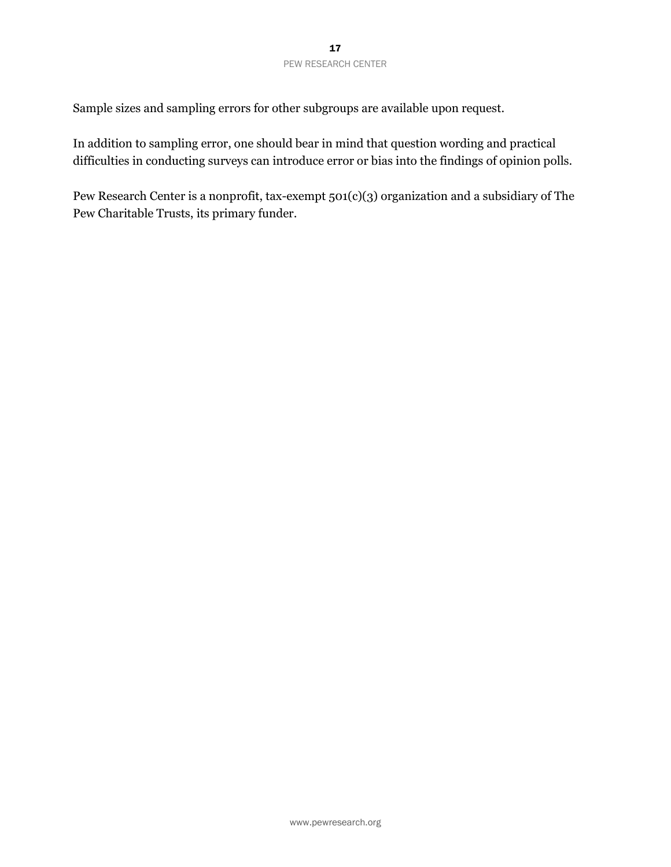Sample sizes and sampling errors for other subgroups are available upon request.

In addition to sampling error, one should bear in mind that question wording and practical difficulties in conducting surveys can introduce error or bias into the findings of opinion polls.

Pew Research Center is a nonprofit, tax-exempt 501(c)(3) organization and a subsidiary of The Pew Charitable Trusts, its primary funder.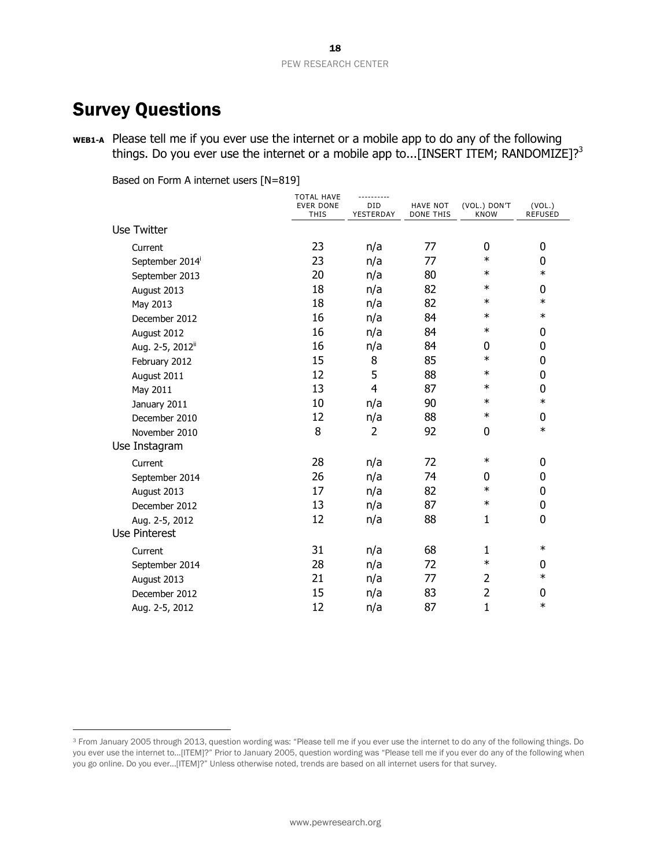# Survey Questions

 $\overline{a}$ 

**WEB1-A** Please tell me if you ever use the internet or a mobile app to do any of the following things. Do you ever use the internet or a mobile app to...[INSERT ITEM; RANDOMIZE]?<sup>3</sup>

Based on Form A internet users [N=819]

|                              | <b>TOTAL HAVE</b><br><b>EVER DONE</b><br>THIS | ----------<br><b>DID</b><br>YESTERDAY | <b>HAVE NOT</b><br><b>DONE THIS</b> | (VOL.) DON'T<br><b>KNOW</b> | (VOL.)<br><b>REFUSED</b> |
|------------------------------|-----------------------------------------------|---------------------------------------|-------------------------------------|-----------------------------|--------------------------|
| <b>Use Twitter</b>           |                                               |                                       |                                     |                             |                          |
| Current                      | 23                                            | n/a                                   | 77                                  | $\overline{0}$              | 0                        |
| September 2014 <sup>i</sup>  | 23                                            | n/a                                   | 77                                  | $\ast$                      | 0                        |
| September 2013               | 20                                            | n/a                                   | 80                                  | $\ast$                      | $\ast$                   |
| August 2013                  | 18                                            | n/a                                   | 82                                  | $\ast$                      | 0                        |
| May 2013                     | 18                                            | n/a                                   | 82                                  | $\ast$                      | $\ast$                   |
| December 2012                | 16                                            | n/a                                   | 84                                  | $\ast$                      | $\ast$                   |
| August 2012                  | 16                                            | n/a                                   | 84                                  | $\ast$                      | 0                        |
| Aug. 2-5, 2012 <sup>ii</sup> | 16                                            | n/a                                   | 84                                  | 0                           | 0                        |
| February 2012                | 15                                            | 8                                     | 85                                  | $\ast$                      | 0                        |
| August 2011                  | 12                                            | 5                                     | 88                                  | $\ast$                      | 0                        |
| May 2011                     | 13                                            | 4                                     | 87                                  | $\ast$                      | 0                        |
| January 2011                 | 10                                            | n/a                                   | 90                                  | $\ast$                      | $\ast$                   |
| December 2010                | 12                                            | n/a                                   | 88                                  | $\ast$                      | 0                        |
| November 2010                | 8                                             | $\overline{2}$                        | 92                                  | 0                           | $\ast$                   |
| Use Instagram                |                                               |                                       |                                     |                             |                          |
| Current                      | 28                                            | n/a                                   | 72                                  | $\ast$                      | 0                        |
| September 2014               | 26                                            | n/a                                   | 74                                  | 0                           | 0                        |
| August 2013                  | 17                                            | n/a                                   | 82                                  | $\ast$                      | 0                        |
| December 2012                | 13                                            | n/a                                   | 87                                  | $\ast$                      | $\mathbf 0$              |
| Aug. 2-5, 2012               | 12                                            | n/a                                   | 88                                  | $\mathbf{1}$                | 0                        |
| <b>Use Pinterest</b>         |                                               |                                       |                                     |                             |                          |
| Current                      | 31                                            | n/a                                   | 68                                  | 1                           | $\ast$                   |
| September 2014               | 28                                            | n/a                                   | 72                                  | $\ast$                      | 0                        |
| August 2013                  | 21                                            | n/a                                   | 77                                  | $\overline{2}$              | $\ast$                   |
| December 2012                | 15                                            | n/a                                   | 83                                  | $\overline{2}$              | 0                        |
| Aug. 2-5, 2012               | 12                                            | n/a                                   | 87                                  | $\mathbf{1}$                | $\ast$                   |

<sup>3</sup> From January 2005 through 2013, question wording was: "Please tell me if you ever use the internet to do any of the following things. Do you ever use the internet to...[ITEM]?" Prior to January 2005, question wording was "Please tell me if you ever do any of the following when you go online. Do you ever...[ITEM]?" Unless otherwise noted, trends are based on all internet users for that survey.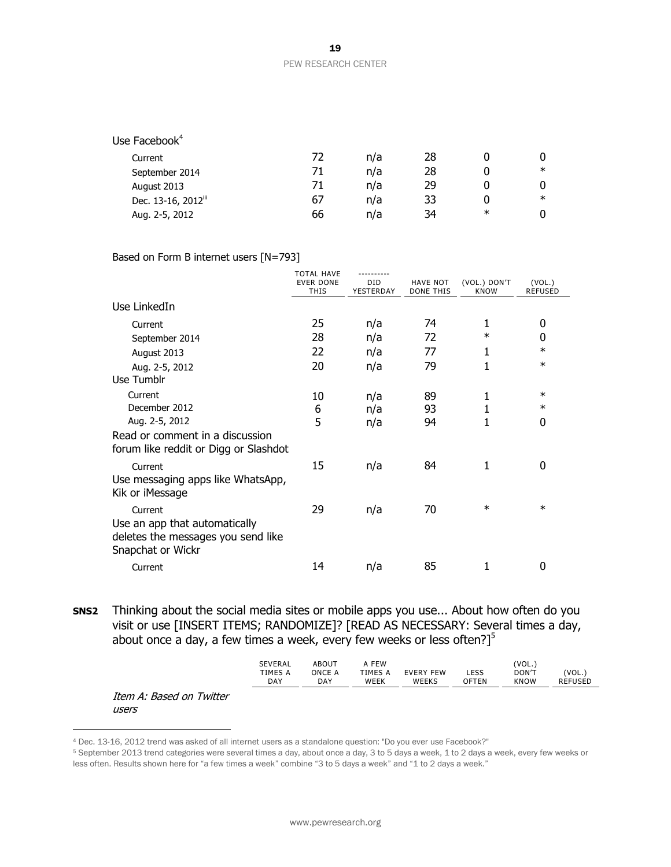#### PEW RESEARCH CENTER

| Use Facebook <sup>4</sup>       |    |     |    |        |        |
|---------------------------------|----|-----|----|--------|--------|
| Current                         | 72 | n/a | 28 |        |        |
| September 2014                  | 71 | n/a | 28 |        | $\ast$ |
| August 2013                     | 71 | n/a | 29 |        |        |
| Dec. 13-16, 2012 <sup>iii</sup> | 67 | n/a | 33 |        | $\ast$ |
| Aug. 2-5, 2012                  | 66 | n/a | 34 | $\ast$ |        |

#### Based on Form B internet users [N=793]

|                                                                                          | <b>TOTAL HAVE</b><br><b>EVER DONE</b><br><b>THIS</b> | <b>DID</b><br>YESTERDAY | <b>HAVE NOT</b><br><b>DONE THIS</b> | (VOL.) DON'T<br><b>KNOW</b> | (VOL.)<br><b>REFUSED</b> |
|------------------------------------------------------------------------------------------|------------------------------------------------------|-------------------------|-------------------------------------|-----------------------------|--------------------------|
| Use LinkedIn                                                                             |                                                      |                         |                                     |                             |                          |
| Current                                                                                  | 25                                                   | n/a                     | 74                                  | 1                           | 0                        |
| September 2014                                                                           | 28                                                   | n/a                     | 72                                  | $\ast$                      | 0                        |
| August 2013                                                                              | 22                                                   | n/a                     | 77                                  | 1                           | $\ast$                   |
| Aug. 2-5, 2012                                                                           | 20                                                   | n/a                     | 79                                  |                             | $\ast$                   |
| Use Tumblr                                                                               |                                                      |                         |                                     |                             |                          |
| Current                                                                                  | 10                                                   | n/a                     | 89                                  | 1                           | $\ast$                   |
| December 2012                                                                            | 6                                                    | n/a                     | 93                                  | 1                           | $\ast$                   |
| Aug. 2-5, 2012                                                                           | 5                                                    | n/a                     | 94                                  |                             | 0                        |
| Read or comment in a discussion<br>forum like reddit or Digg or Slashdot                 |                                                      |                         |                                     |                             |                          |
| Current                                                                                  | 15                                                   | n/a                     | 84                                  | 1                           | 0                        |
| Use messaging apps like WhatsApp,<br>Kik or iMessage                                     |                                                      |                         |                                     |                             |                          |
| Current                                                                                  | 29                                                   | n/a                     | 70                                  | $\ast$                      | $\ast$                   |
| Use an app that automatically<br>deletes the messages you send like<br>Snapchat or Wickr |                                                      |                         |                                     |                             |                          |
| Current                                                                                  | 14                                                   | n/a                     | 85                                  |                             | 0                        |

**SNS2** Thinking about the social media sites or mobile apps you use... About how often do you visit or use [INSERT ITEMS; RANDOMIZE]? [READ AS NECESSARY: Several times a day, about once a day, a few times a week, every few weeks or less often?] $5$ 

|            |     | <b>FEW</b>  |     |      | $V\cap I$<br>◡-                 |       |
|------------|-----|-------------|-----|------|---------------------------------|-------|
| TMES A     | ገNC | IMES        | FFW |      | $00N$ <sup><math>-</math></sup> | 'VOL. |
| <b>DAY</b> | DAY | <b>WEEK</b> |     | ⊤EN. | ΩW<br>'NH                       |       |
|            |     |             |     |      |                                 |       |

#### Item A: Based on Twitter users

 $\overline{a}$ 

<sup>4</sup> Dec. 13-16, 2012 trend was asked of all internet users as a standalone question: "Do you ever use Facebook?"

<sup>5</sup> September 2013 trend categories were several times a day, about once a day, 3 to 5 days a week, 1 to 2 days a week, every few weeks or less often. Results shown here for "a few times a week" combine "3 to 5 days a week" and "1 to 2 days a week."